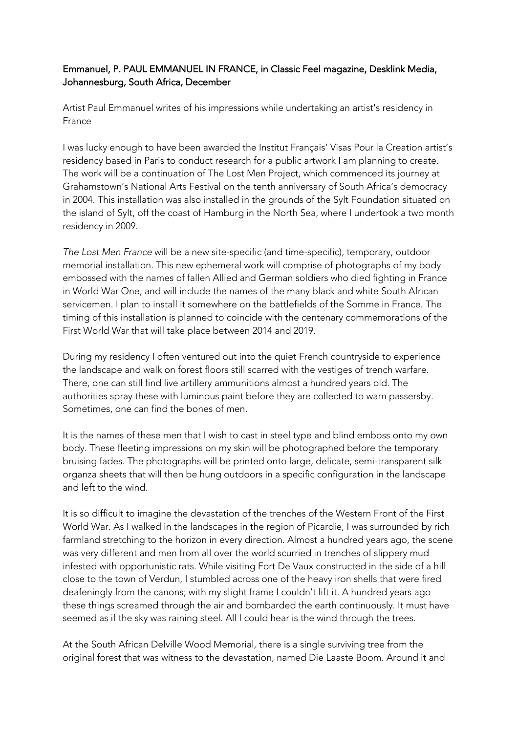## Emmanuel, P. PAUL EMMANUEL IN FRANCE, in Classic Feel magazine, Desklink Media, Johannesburg, South Africa, December

Artist Paul Emmanuel writes of his impressions while undertaking an artist's residency in France

I was lucky enough to have been awarded the Institut Français' Visas Pour la Creation artist's residency based in Paris to conduct research for a public artwork I am planning to create. The work will be a continuation of The Lost Men Project, which commenced its journey at Grahamstown's National Arts Festival on the tenth anniversary of South Africa's democracy in 2004. This installation was also installed in the grounds of the Sylt Foundation situated on the island of Sylt, off the coast of Hamburg in the North Sea, where I undertook a two month residency in 2009.

*The Lost Men France* will be a new site-specific (and time-specific), temporary, outdoor memorial installation. This new ephemeral work will comprise of photographs of my body embossed with the names of fallen Allied and German soldiers who died fighting in France in World War One, and will include the names of the many black and white South African servicemen. I plan to install it somewhere on the battlefields of the Somme in France. The timing of this installation is planned to coincide with the centenary commemorations of the First World War that will take place between 2014 and 2019.

During my residency I often ventured out into the quiet French countryside to experience the landscape and walk on forest floors still scarred with the vestiges of trench warfare. There, one can still find live artillery ammunitions almost a hundred years old. The authorities spray these with luminous paint before they are collected to warn passersby. Sometimes, one can find the bones of men.

It is the names of these men that I wish to cast in steel type and blind emboss onto my own body. These fleeting impressions on my skin will be photographed before the temporary bruising fades. The photographs will be printed onto large, delicate, semi-transparent silk organza sheets that will then be hung outdoors in a specific configuration in the landscape and left to the wind.

It is so difficult to imagine the devastation of the trenches of the Western Front of the First World War. As I walked in the landscapes in the region of Picardie, I was surrounded by rich farmland stretching to the horizon in every direction. Almost a hundred years ago, the scene was very different and men from all over the world scurried in trenches of slippery mud infested with opportunistic rats. While visiting Fort De Vaux constructed in the side of a hill close to the town of Verdun, I stumbled across one of the heavy iron shells that were fired deafeningly from the canons; with my slight frame I couldn't lift it. A hundred years ago these things screamed through the air and bombarded the earth continuously. It must have seemed as if the sky was raining steel. All I could hear is the wind through the trees.

At the South African Delville Wood Memorial, there is a single surviving tree from the original forest that was witness to the devastation, named Die Laaste Boom. Around it and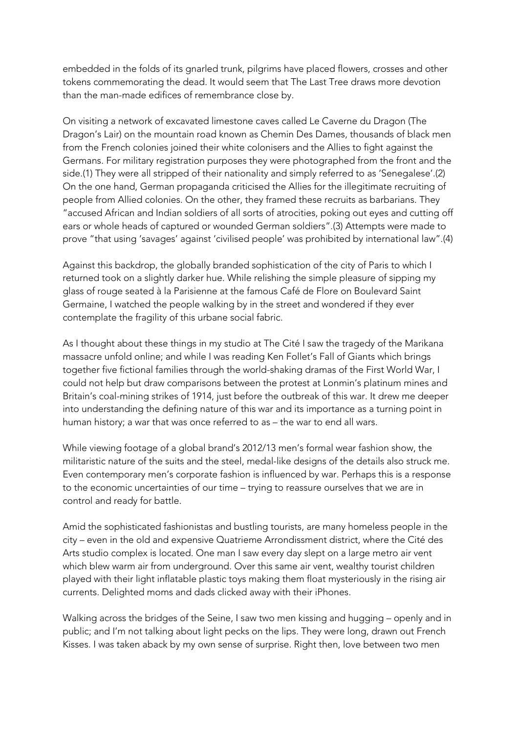embedded in the folds of its gnarled trunk, pilgrims have placed flowers, crosses and other tokens commemorating the dead. It would seem that The Last Tree draws more devotion than the man-made edifices of remembrance close by.

On visiting a network of excavated limestone caves called Le Caverne du Dragon (The Dragon's Lair) on the mountain road known as Chemin Des Dames, thousands of black men from the French colonies joined their white colonisers and the Allies to fight against the Germans. For military registration purposes they were photographed from the front and the side.(1) They were all stripped of their nationality and simply referred to as 'Senegalese'.(2) On the one hand, German propaganda criticised the Allies for the illegitimate recruiting of people from Allied colonies. On the other, they framed these recruits as barbarians. They "accused African and Indian soldiers of all sorts of atrocities, poking out eyes and cutting off ears or whole heads of captured or wounded German soldiers".(3) Attempts were made to prove "that using 'savages' against 'civilised people' was prohibited by international law".(4)

Against this backdrop, the globally branded sophistication of the city of Paris to which I returned took on a slightly darker hue. While relishing the simple pleasure of sipping my glass of rouge seated à la Parisienne at the famous Café de Flore on Boulevard Saint Germaine, I watched the people walking by in the street and wondered if they ever contemplate the fragility of this urbane social fabric.

As I thought about these things in my studio at The Cité I saw the tragedy of the Marikana massacre unfold online; and while I was reading Ken Follet's Fall of Giants which brings together five fictional families through the world-shaking dramas of the First World War, I could not help but draw comparisons between the protest at Lonmin's platinum mines and Britain's coal-mining strikes of 1914, just before the outbreak of this war. It drew me deeper into understanding the defining nature of this war and its importance as a turning point in human history; a war that was once referred to as – the war to end all wars.

While viewing footage of a global brand's 2012/13 men's formal wear fashion show, the militaristic nature of the suits and the steel, medal-like designs of the details also struck me. Even contemporary men's corporate fashion is influenced by war. Perhaps this is a response to the economic uncertainties of our time – trying to reassure ourselves that we are in control and ready for battle.

Amid the sophisticated fashionistas and bustling tourists, are many homeless people in the city – even in the old and expensive Quatrieme Arrondissment district, where the Cité des Arts studio complex is located. One man I saw every day slept on a large metro air vent which blew warm air from underground. Over this same air vent, wealthy tourist children played with their light inflatable plastic toys making them float mysteriously in the rising air currents. Delighted moms and dads clicked away with their iPhones.

Walking across the bridges of the Seine, I saw two men kissing and hugging – openly and in public; and I'm not talking about light pecks on the lips. They were long, drawn out French Kisses. I was taken aback by my own sense of surprise. Right then, love between two men